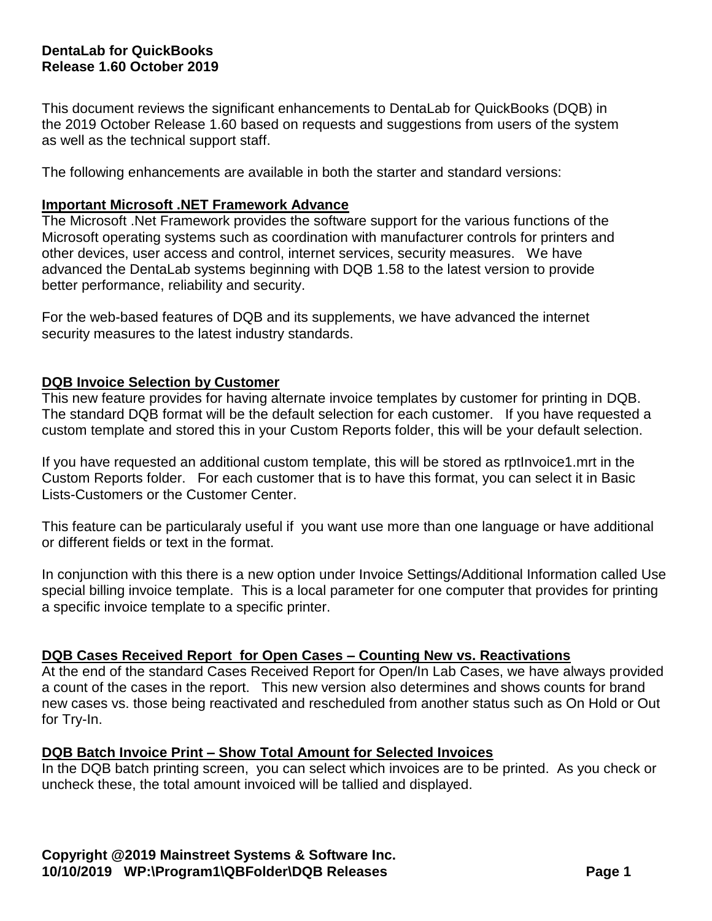## **DentaLab for QuickBooks Release 1.60 October 2019**

This document reviews the significant enhancements to DentaLab for QuickBooks (DQB) in the 2019 October Release 1.60 based on requests and suggestions from users of the system as well as the technical support staff.

The following enhancements are available in both the starter and standard versions:

## **Important Microsoft .NET Framework Advance**

The Microsoft .Net Framework provides the software support for the various functions of the Microsoft operating systems such as coordination with manufacturer controls for printers and other devices, user access and control, internet services, security measures. We have advanced the DentaLab systems beginning with DQB 1.58 to the latest version to provide better performance, reliability and security.

For the web-based features of DQB and its supplements, we have advanced the internet security measures to the latest industry standards.

#### **DQB Invoice Selection by Customer**

This new feature provides for having alternate invoice templates by customer for printing in DQB. The standard DQB format will be the default selection for each customer. If you have requested a custom template and stored this in your Custom Reports folder, this will be your default selection.

If you have requested an additional custom template, this will be stored as rptInvoice1.mrt in the Custom Reports folder. For each customer that is to have this format, you can select it in Basic Lists-Customers or the Customer Center.

This feature can be particularaly useful if you want use more than one language or have additional or different fields or text in the format.

In conjunction with this there is a new option under Invoice Settings/Additional Information called Use special billing invoice template. This is a local parameter for one computer that provides for printing a specific invoice template to a specific printer.

## **DQB Cases Received Report for Open Cases – Counting New vs. Reactivations**

At the end of the standard Cases Received Report for Open/In Lab Cases, we have always provided a count of the cases in the report. This new version also determines and shows counts for brand new cases vs. those being reactivated and rescheduled from another status such as On Hold or Out for Try-In.

#### **DQB Batch Invoice Print – Show Total Amount for Selected Invoices**

In the DQB batch printing screen, you can select which invoices are to be printed. As you check or uncheck these, the total amount invoiced will be tallied and displayed.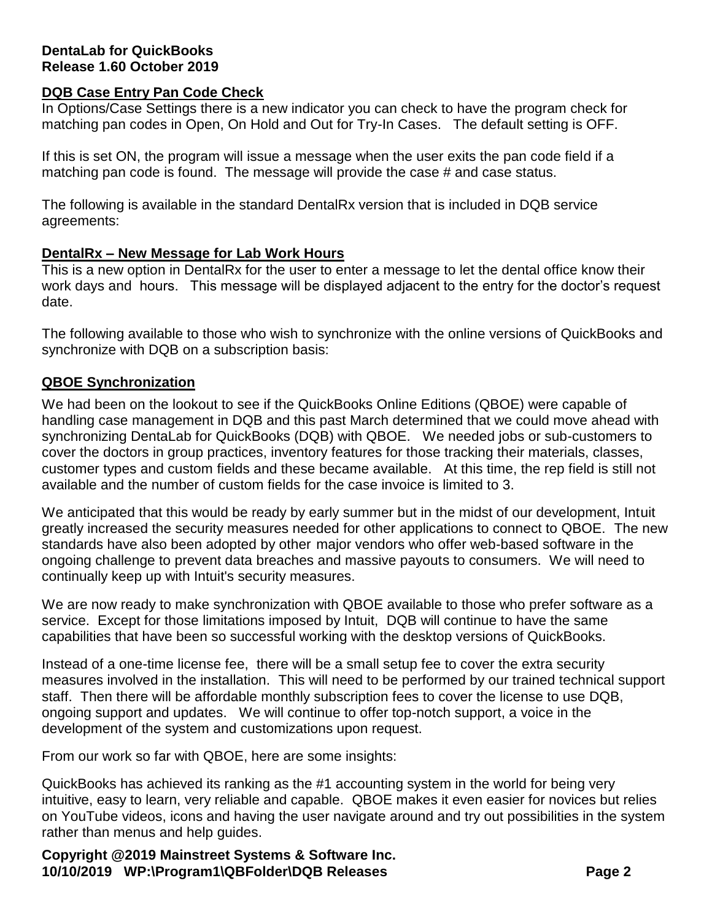## **DentaLab for QuickBooks Release 1.60 October 2019**

## **DQB Case Entry Pan Code Check**

In Options/Case Settings there is a new indicator you can check to have the program check for matching pan codes in Open, On Hold and Out for Try-In Cases. The default setting is OFF.

If this is set ON, the program will issue a message when the user exits the pan code field if a matching pan code is found. The message will provide the case # and case status.

The following is available in the standard DentalRx version that is included in DQB service agreements:

## **DentalRx – New Message for Lab Work Hours**

This is a new option in DentalRx for the user to enter a message to let the dental office know their work days and hours. This message will be displayed adjacent to the entry for the doctor's request date.

The following available to those who wish to synchronize with the online versions of QuickBooks and synchronize with DQB on a subscription basis:

## **QBOE Synchronization**

We had been on the lookout to see if the QuickBooks Online Editions (QBOE) were capable of handling case management in DQB and this past March determined that we could move ahead with synchronizing DentaLab for QuickBooks (DQB) with QBOE. We needed jobs or sub-customers to cover the doctors in group practices, inventory features for those tracking their materials, classes, customer types and custom fields and these became available. At this time, the rep field is still not available and the number of custom fields for the case invoice is limited to 3.

We anticipated that this would be ready by early summer but in the midst of our development, Intuit greatly increased the security measures needed for other applications to connect to QBOE. The new standards have also been adopted by other major vendors who offer web-based software in the ongoing challenge to prevent data breaches and massive payouts to consumers. We will need to continually keep up with Intuit's security measures.

We are now ready to make synchronization with QBOE available to those who prefer software as a service. Except for those limitations imposed by Intuit, DQB will continue to have the same capabilities that have been so successful working with the desktop versions of QuickBooks.

Instead of a one-time license fee, there will be a small setup fee to cover the extra security measures involved in the installation. This will need to be performed by our trained technical support staff. Then there will be affordable monthly subscription fees to cover the license to use DQB, ongoing support and updates. We will continue to offer top-notch support, a voice in the development of the system and customizations upon request.

From our work so far with QBOE, here are some insights:

QuickBooks has achieved its ranking as the #1 accounting system in the world for being very intuitive, easy to learn, very reliable and capable. QBOE makes it even easier for novices but relies on YouTube videos, icons and having the user navigate around and try out possibilities in the system rather than menus and help guides.

**Copyright @2019 Mainstreet Systems & Software Inc. 10/10/2019 WP:\Program1\QBFolder\DQB Releases Page 2**